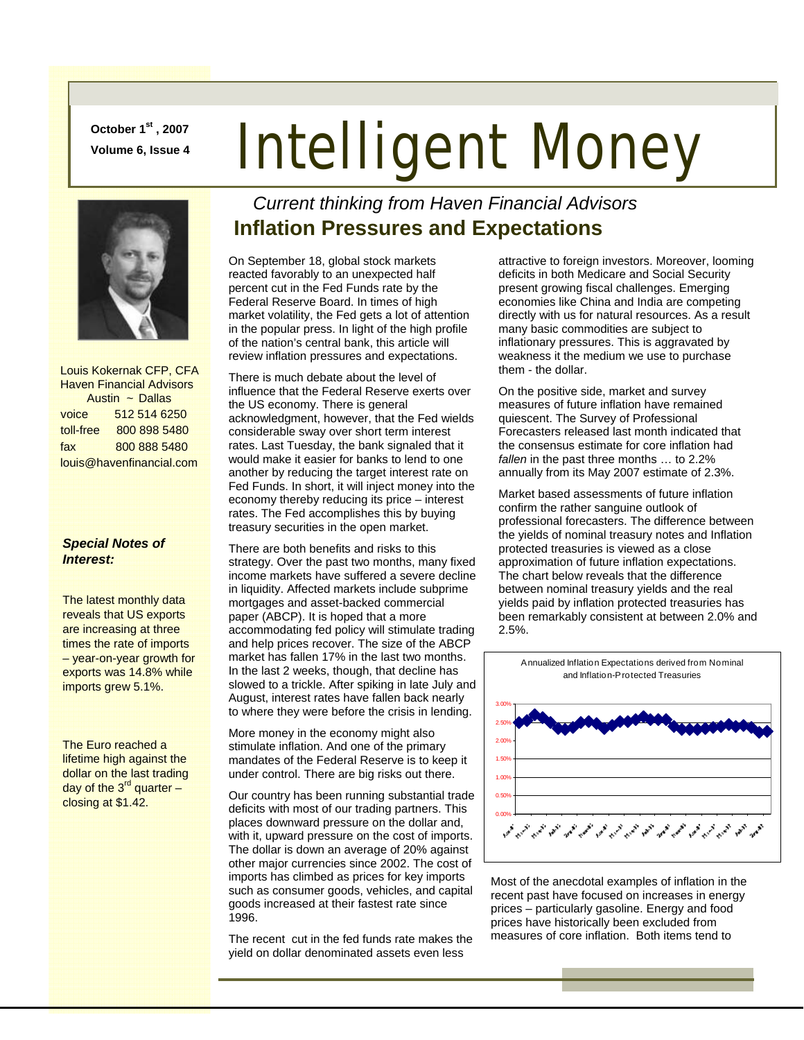**October 1st , 2007** 

# **Doctober 1st, 2007**<br>Volume 6, Issue 4 **Intelligent Money**



 Louis Kokernak CFP, CFA Haven Financial Advisors Austin ~ Dallas voice 512 514 6250 toll-free 800 898 5480 fax 800 888 5480 louis@havenfinancial.com

#### *Special Notes of Interest:*

The latest monthly data reveals that US exports are increasing at three times the rate of imports – year-on-year growth for exports was 14.8% while imports grew 5.1%.

The Euro reached a lifetime high against the dollar on the last trading day of the  $3^{rd}$  quarter – closing at \$1.42.

#### *Current thinking from Haven Financial Advisors*  **Inflation Pressures and Expectations**

On September 18, global stock markets reacted favorably to an unexpected half percent cut in the Fed Funds rate by the Federal Reserve Board. In times of high market volatility, the Fed gets a lot of attention in the popular press. In light of the high profile of the nation's central bank, this article will review inflation pressures and expectations.

There is much debate about the level of influence that the Federal Reserve exerts over the US economy. There is general acknowledgment, however, that the Fed wields considerable sway over short term interest rates. Last Tuesday, the bank signaled that it would make it easier for banks to lend to one another by reducing the target interest rate on Fed Funds. In short, it will inject money into the economy thereby reducing its price – interest rates. The Fed accomplishes this by buying treasury securities in the open market.

There are both benefits and risks to this strategy. Over the past two months, many fixed income markets have suffered a severe decline in liquidity. Affected markets include subprime mortgages and asset-backed commercial paper (ABCP). It is hoped that a more accommodating fed policy will stimulate trading and help prices recover. The size of the ABCP market has fallen 17% in the last two months. In the last 2 weeks, though, that decline has slowed to a trickle. After spiking in late July and August, interest rates have fallen back nearly to where they were before the crisis in lending.

More money in the economy might also stimulate inflation. And one of the primary mandates of the Federal Reserve is to keep it under control. There are big risks out there.

Our country has been running substantial trade deficits with most of our trading partners. This places downward pressure on the dollar and, with it, upward pressure on the cost of imports. The dollar is down an average of 20% against other major currencies since 2002. The cost of imports has climbed as prices for key imports such as consumer goods, vehicles, and capital goods increased at their fastest rate since 1996.

The recent cut in the fed funds rate makes the yield on dollar denominated assets even less

attractive to foreign investors. Moreover, looming deficits in both Medicare and Social Security present growing fiscal challenges. Emerging economies like China and India are competing directly with us for natural resources. As a result many basic commodities are subject to inflationary pressures. This is aggravated by weakness it the medium we use to purchase them - the dollar.

On the positive side, market and survey measures of future inflation have remained quiescent. The Survey of Professional Forecasters released last month indicated that the consensus estimate for core inflation had fallen in the past three months ... to 2.2% annually from its May 2007 estimate of 2.3%.

Market based assessments of future inflation confirm the rather sanguine outlook of professional forecasters. The difference between the yields of nominal treasury notes and Inflation protected treasuries is viewed as a close approximation of future inflation expectations. The chart below reveals that the difference between nominal treasury yields and the real yields paid by inflation protected treasuries has been remarkably consistent at between 2.0% and 2.5%.



Most of the anecdotal examples of inflation in the recent past have focused on increases in energy prices – particularly gasoline. Energy and food prices have historically been excluded from measures of core inflation. Both items tend to